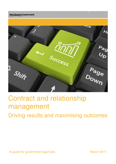**New Zealand Government** 



Procurement – driving better value

# Contract and relationship management

Driving results and maximising outcomes

A guide for government agencies March 2011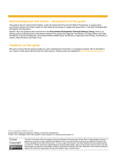# **Acknowledgement and thanks – development of this guide**

This guide is part of a Government initiative, under the Government Procurement Reform Programme, to support good procurement practice and make it easier for New Zealand businesses to engage with government. It has been developed after consultation and discussion.

Specific input and guidance were received from the **Procurement Development Technical Advisory Group**, which is an advisory group comprising senior procurement advisers from government agencies: the Ministry of Foreign Affairs and Trade, the Ministry of Social Development, the Auckland District Health Board, the Ministry of Agriculture and Forestry, the Ministry of Justice, Inland Revenue and Public Trust.

# **Feedback on this guide**

We want to ensure that this guide provides you with comprehensive information on managing contracts. We're interested in your views on what works well and what we could improve. Please provide any feedback to: **procurement@mbie.govt.nz**.

 First published March 2011 PO Box 1473 | Wellington 6140 | New Zealand | www.med.govt.nz | www.procurement.govt.nz Government Procurement Solutions | Ministry of Economic Development



 This work is licensed under the Creative Commons Attribution-Noncommercial-Share Alike 3.0 New Zealand License. In essence you are free to copy, distribute and adapt the work non-commercially, as long as you attribute the work to the Crown and abide by the other licence terms. To view a copy of this licence, visit http://creativecommons.org/licenses/by- nc-sa/3.0/nz/. Please note that no departmental or governmental emblem, logo or Coat of Arms may be used in any way that infringes any provision of the Flags, Emblems, and Names Protection Act 1981. Attribution to the Crown should be in written form and not by reproduction of any such emblem, logo or Coat of Arms.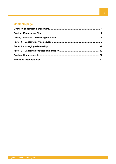# **Contents page**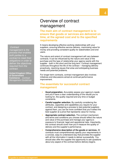#### **Contract**

 management is the both parties to a contract to meet their obligations in order to deliver the objectives required from the process that enables contract.

 **United Kingdom Office**  – **Commerce** Contract **of Government**  Management Guidelines

# Overview of contract management

 **The main aim of contract management is to ensure that goods or services are delivered on time, at the agreed cost and to the specified requirements** 

 It means developing effective working relationships with your suppliers, ensuring effective service delivery, maximising value for money and providing consistent quality for stakeholders and end users.

users.<br>The nature and extent of contract management will vary between contracts. It can be influenced by the nature and value of the purchase and the type of relationship your agency wants with the supplier - both in the short and the long term. Contract management continues throughout the life of the contract – managing delivery proactively, resolving issues that arise and anticipating business needs and potential problems.

 For longer-term contracts, contract management also involves initiatives and discussions aimed at continual performance improvement.

#### **The essentials for successful contract management**

- • **Good preparation.** Accurately assess your agency's needs and you'll have a clear understanding of the results you're looking for, the quality required and any time or budget constraints.
- • **Careful supplier selection.** By carefully considering the attributes, capacities and capabilities you require for your contract, and designing a process to test potential suppliers against them, you can be more confident that you'll select the best supplier at a price that represents value for money.
- • **Appropriate contract selection.** The contract mechanism and terms and conditions you choose should reflect the nature and value of the purchase and manage your agency's exposure to financial, legal and operational risks. Importantly, the contract should cover how you'll measure the quality of delivery and the supplier's performance.
- • **Comprehensive description of the goods or services.** All contracts must comprehensively specify your requirements in a concise, easy-to-understand way that provides the supplier with all the information it needs to deliver successfully. You should also offer the supplier the opportunity to ask questions about any aspect of the contract before delivery begins.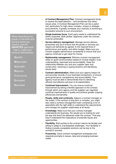When describing the service levels you require, use the that is, make your goods or services and **SMARTER** approach contract deliverables:

**S**pecific

**M**easurable

**A**ttainable

**R**elevant

**T**ime bound

**E**valuated

**R**ecorded.

- • **A Contract Management Plan.** Contract management tends to receive the least attention – and sometimes only when issues arise. A Contract Management Plan can be a useful tool, particularly for high-value, complex, unique or strategic procurements. It greatly increases your chances of achieving a successful outcome to your procurement.
- • **Single business focus.** Each party needs to understand the other's business. Both parties' objectives under the contract must be achievable.
- **Service delivery management.** Manage service delivery proactively and you'll ensure that the goods or services you require are delivered as agreed, to the required level of performance and quality, and within budget. Make sure you monitor supplier performance consistently to ensure that your agency continues to get value for money.
- • **Relationship management.** Effective contract management relies on good communication based on mutual respect, trust, understanding, openness and accountability. Keep the relationship between you and your supplier open and constructive, resolving or easing tensions and identifying issues early.
- **Contract administration.** Make sure your agency keeps full and accurate records of your business transactions, to ensure good governance, transparency and accountability. Your agency must be able to demonstrate that it's delivering efficient and effective services to its stakeholders.
- • **Continual improvement.** You can ensure continual improvement by taking a flexible approach to the contract, through which your agency and the supplier can negotiate continual improvements in quality and achieve greater ongoing efficiencies and benefits.
- • **People, skills and continuity.** Appoint a contract manager at the outset. If the contract is long term or complex, you might also need a contract-management team comprising a mix of specialists with the right skills to understand the requirements and manage the supplier relationship at all levels.
- • **Knowledge.** Make sure that your contract manager understands the business, the results you're looking for and the way that they'll be delivered under the contract. That way they'll understand the implications of potential issues and opportunities.
- • **Flexibility.** Both parties to the contract need to be flexible and willing to adapt to unanticipated challenges. Your flexibility in finding mutually acceptable solutions can be key to the contract's success.
- • **Proactivity.** Good contract management anticipates and responds promptly to issues, risks and emerging business needs.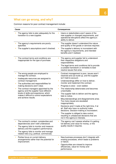# **What can go wrong, and why?**

Common reasons for poor contract management include:

| Cause                                                                                                                                                                                                                                                                                                                                                                                                      | <b>Consequences</b>                                                                                                                                                                                                                                                                                                                                                                                                                                                                                                                                                                                                                                                                                                                                                                      |  |  |
|------------------------------------------------------------------------------------------------------------------------------------------------------------------------------------------------------------------------------------------------------------------------------------------------------------------------------------------------------------------------------------------------------------|------------------------------------------------------------------------------------------------------------------------------------------------------------------------------------------------------------------------------------------------------------------------------------------------------------------------------------------------------------------------------------------------------------------------------------------------------------------------------------------------------------------------------------------------------------------------------------------------------------------------------------------------------------------------------------------------------------------------------------------------------------------------------------------|--|--|
| The agency fails to plan adequately for the<br>transition to a new supplier.                                                                                                                                                                                                                                                                                                                               | Users or stakeholders aren't aware of the<br>new supplier or changed requirements, and<br>operational disruptions affect the agency's<br>ability to deliver.                                                                                                                                                                                                                                                                                                                                                                                                                                                                                                                                                                                                                             |  |  |
| The agency's requirements are poorly<br>specified.<br>The supplier's assumptions aren't checked.                                                                                                                                                                                                                                                                                                           | The supplier doesn't understand the nature<br>u,<br>and quality of the goods or services required.<br>The supplier's delivery is inconsistent with<br>٠<br>the agency's requirements, and intended<br>benefits aren't realised.                                                                                                                                                                                                                                                                                                                                                                                                                                                                                                                                                          |  |  |
| The contract terms and conditions are<br>inappropriate for the type of purchase.                                                                                                                                                                                                                                                                                                                           | The agency and supplier fail to understand<br>п<br>their respective obligations and<br>responsibilities.<br>The legal terms and conditions fail to provide<br>a suitable framework or remedies to best<br>resolve issues that arise.                                                                                                                                                                                                                                                                                                                                                                                                                                                                                                                                                     |  |  |
| The wrong people are employed to<br>manage the contract.<br>Inadequate resources are assigned to<br>contract management.<br>The authorities and responsibilities for<br>making decisions aren't clear.<br>The contract managers appointed by the<br>agency and the supplier have different<br>levels of skills and experience, which<br>makes it difficult to control expectations<br>and achieve results. | Contract management is poor, issues aren't<br>п<br>resolved and can build up, and the supplier<br>isn't held to account.<br>Understandings differ on how to deliver,<br>п<br>monitor and implement the contract.<br>Progress is slow - even stalled.<br>п<br>The relationship deteriorates and becomes<br>п<br>unworkable.<br>The supplier fails to deliver and the agency<br>fails to notice.<br>Misunderstandings and disagreements arise.<br>u,<br>Too many issues are escalated<br>inappropriately.<br>Decisions aren't made at the right time, if at<br>u,<br>all. Staff who have no authority make<br>decisions. Decision-making is inconsistent.<br>The supplier is obliged to take control,<br>п<br>resulting in unbalanced decisions that are<br>not in the agency's interests. |  |  |
| The contract's context, complexities and<br>dependencies aren't well understood.<br>The agency fails to monitor and measure<br>delivery and the supplier's performance.<br>The agency fails to monitor and manage<br>п<br>related risks (e.g. political, commercial).<br>Parties focus on current delivery<br>п<br>arrangements rather than the potential for<br>improvement.                              | The agency can't assess whether it's getting<br>ш<br>full delivery and value for money, or the<br>quality results it requires.<br>New business processes don't integrate with<br>п<br>existing processes, which leads to problems<br>or failure.<br>Opportunities are missed to improve<br>I.<br>efficiencies, value for money and                                                                                                                                                                                                                                                                                                                                                                                                                                                       |  |  |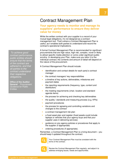To achieve good ensure that the terms of the contract are adhered to, and that all parties to the their respective obligations. contract performance, public entities should contract understand

**of the Auditor**  – **Office of the Auditor General** Procurement Guidance for Public **Entities** 

# Contract Management Plan

### **Your agency needs to monitor and manage its suppliers' performance to ensure they deliver value for money**

 While the written contract with your supplier is a record of your mutual legal obligations, it's not designed as a contract- management tool. That's where a Contract Management Plan is useful, as it enables both parties to understand and record the contract's operational implications.

 A formal Contract Management Plan is recommended for significant procurements that are high value, high risk, complex, novel or likely to attract specific media attention or come under significant public scrutiny. In developing your Plan, make sure you tailor it to the individual contract; the contents and amount of detail will depend on the nature of the procurement.

A Contract Management Plan should include:

- identification and contact details for each party's contract manager
- the contract managers' key responsibilities
- • a timeline of key actions, deliverables, milestones and payment dates
- the reporting requirements (frequency, type, content and distribution)
- the meeting requirements (chair, location and standard agenda items)
- the process for achieving and checking key deliverables
- the quality / standards and measuring process (e.g. KPIs)
- payment procedures
- the process for agreeing and controlling variations and changes to the contract
- a contract management risk plan
- a fixed asset plan and register (fixed assets could include laptops or vehicles that your agency buys and that your supplier uses in delivering services)
- guidance on any agency policies or procedures that apply to the supplier (if appropriate)
- ordering procedures (if appropriate).

 Remember, a Contract Management Plan is a living document – you should keep it updated throughout the contract.



 Your Contract Management Plan must be consistent with the terms of the contract.



 Review the Contract Management Plan regularly, and adjust it to address emerging issues, needs and opportunities.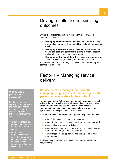# Driving results and maximising outcomes

**\_\_\_\_\_\_\_\_\_\_\_\_\_\_\_\_\_\_\_\_\_\_\_\_\_\_\_\_\_\_\_\_\_\_\_** 

 Effective contract management relies on three separate, but interrelated factors:

- **Managing service delivery** ensures that a contract is being delivered as agreed, to the required levels of performance and quality.
- • **Managing relationships** keeps the relationship between the two parties open and constructive, aiming to resolve problems early and focus on continual improvement.
- **Managing contract administration** provides governance and accountability through tracking and recording delivery.

 All three factors must be managed effectively and consistently if the contract is to succeed.

# Factor 1 – Managing service delivery

# **Service-delivery management is about managing a supplier's performance against the performance indicators in the contract**

**\_\_\_\_\_\_\_\_\_\_\_\_\_\_\_\_\_\_\_\_\_\_\_\_\_\_\_\_\_\_\_\_\_\_\_** 

 To meet your agency's business requirements, your supplier must achieve the best possible balance between time, cost and quality to deliver the goods or services you seek. Service-delivery management can help to balance these factors, providing your agency with the best possible value for money.

Well structured service-delivery management helps both parties to:

- • quantify the costs and benefits of the contract
- ensure that responsibilities are clearly defined and assigned
- clearly define standards for delivery
- ensure that payment is only made for goods or services that meet the required (and verified) standard
- ensure that deliverables comply with the agreed business requirements.

 It will also help your agency to develop your current and future requirements.

#### **Who sets the performance measures?**

 Ideally you and the supplier should agree on the initial performance measures during the contract negotiation then record them in the contract.

- **Review the measures**  regularly to ensure they remain relevant and useful.
- As the contract progresses you can modify the performance measures to reflect the through innovation and benefits achieved efficiencies.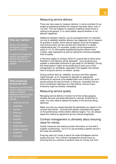# Measuring service delivery

 There are many ways to measure delivery. In some contracts it's as simple as assessing whether the measure has been either 'met' or 'not met'. This can happen for aspects of delivery where there is nothing to be gained, or no value added, beyond whether or not delivery happened.

 Additional statistics (metrics) can be developed when it's important not only to establish whether delivery has happened, but to measure its quantity or quality. Some service aspects (such as throughput, cost and accuracy) can be counted and measured in a simple, mathematical way. For example, quality can be expressed on a scale of 1 to 10, with parties predetermining the criterion each number value represents as well as setting the minimal acceptable level of quality.

 In the early stages of contract rollout it's a good idea to allow some flexibility in how delivery will be assessed – such as giving your supplier a reasonable timeframe to get ready for full delivery. During this initial phase it might not be productive to point out a minor transgression on standards, especially if the supplier has worked hard to bring the service 'on stream' quickly.

 During contract start-up, reliability, accuracy and other aspects might fluctuate, so it's important to stipulate an appropriate timeframe for services to be bedded down and in which you won't strictly enforce the service levels. In doing so, remember that too short a timeframe might give an unfair picture, and too long a timeframe might be similarly misleading.

# Measuring service quality

 Managing service delivery involves more than simply gauging whether services are being delivered to volumes, timeframes or costs. You also need to assess the quality of the services being delivered.

delivered.<br>Make sure that you clearly describe the standards you expect in the contract documents – and that both parties understand and agree on the performance metrics before delivery begins. You can always adjust the metrics by agreement as the contract progresses.

### Contract management is ultimately about ensuring value for money

 Quality measures and metrics provide information on how well a supplier is performing – but it's no use providing a perfect service if the costs are prohibitive.

 Ensuring value for money is about the trade-off between service quality and cost. Your contract management should focus on ensuring that you continue to achieve value for money over time.

#### **What are 'metrics'?**

 developed to measure or quantify something. Metrics are statistics

 In contract management, metrics are aspects of delivery that can be tracked, measured and verified.

#### **What measures should we use?**

 Measuring service quality means creating and using quality measures. Aspects of service quality that can be measured include:

- **•** customer service
- availability
- capacity
- efficiency
- reliability
- flexibility
- timeliness
- � responsiveness
- problem solving
- proactivity
- innovation.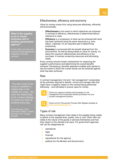#### **What if the supplier - is an in house business unit or another government agency?**

 In this case, you can use a service level agreement instead of a formal contract.

You don t want to be trying to establish a relationship in the middle of a crisis. You want the relationship to be in place already. ' It s what you work at building every day.

 Chris Renaud, Chief Information Officer, Health Services I & IT Cluster, Canada

# Effectiveness, efficiency and economy

 Value for money comes from using resources effectively, efficiently and economically.

- **Effectiveness** is the extent to which objectives are achieved. In contrast to efficiency, effectiveness is determined without reference to costs.
- • **Efficiency** is a comparison of what can be achieved with what has been achieved using the same resources e.g. time, labour, materials. It's an important part of determining productivity.
- **Economy** is concerned with the benefit obtained from the procurement. As well as being based on value for money, it's about the maximum effectiveness and efficiency of the purchase. It involves conserving resources and eliminating waste.

 Every contract should contain mechanisms for measuring the supplier's performance and determining the overall benefits achieved. Developing a benefits statement enables both parties to see the extent to which the overall results can be achieved against what has been achieved.

# Risk

 In contract management, the term 'risk management' incorporates all the activities required to identify, control and manage risks that might have a negative impact on the contract being performed effectively – and ultimately to ensure value for money.



 Check your agency's policies and processes on risk management and incorporate relevant processes into your contract-management practice.



Check out the Procurement Process Risk Register template at: **www.procurement.govt.nz**.

# Types of risk

 Many contract-management risks relate to the supplier being unable to deliver to the required level, quality, time or cost. Other risks can relate to the nature of the goods or services themselves and how they impact on the ultimate end users. For government agencies, risk can be categorised as:

- operational
- legal
- financial
- reputational (for the agency)
- political (for the Minister and Government).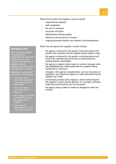- organisational capacity
- staff capabilities
- the cost of materials
- resources and effort
- effectiveness (driving quality)
- efficiency (driving value for money)
- ongoing business direction and research and development.

Risks that are beyond the supplier's control include:

- the agency's demand for the goods or services being much greater than expected and the supplier being unable to cope
- the agency's demand for the goods or services being much lower than expected and economies of scale being lost, making delivery unprofitable
- the agency's subject matter expert or contract manager (who has established key relationships with the supplier) being transferred or moving on
- changes in the agency's requirements, such as new policy or legislation, that require the agency to make demands that the supplier can't meet
- extraordinary events (force majeure), where factors beyond the supplier's control disrupt delivery. For example, premises might flood and therefore can't be accessed
- the agency being unable to meets its obligations under the contract.

#### **Managing risks**

 Work with your supplier to decide who's responsible for each area of risk, how you can minimise the chances of happening and how you'll manage them if they do. negative events

 Questions to answer for each area of risk include:

- control the events that might lead to the risk • who s best able to happening?
- who s best able to control the risk if it happens?
- in controlling the risk: the agency or the who should be involved supplier?
- who should be responsible for a risk if ' it can t be controlled?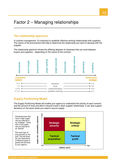# **The relationship spectrum**

 In contract management, it's important to establish effective working relationships with suppliers. The nature of the procurement will help to determine the relationship you want to develop with the supplier.

**\_\_\_\_\_\_\_\_\_\_\_\_\_\_\_\_\_\_\_\_\_\_\_\_\_\_\_\_\_\_\_\_\_\_\_\_\_\_\_\_\_\_\_\_\_\_\_\_\_\_** 

supplier.<br>The relationship spectrum shows the differing degrees of closeness that can exist between buyers and suppliers – depending on the nature of the contract.



# **Supply Positioning Model**

 The Supply Positioning Model will enable your agency to understand the priority of each contract and the amount of time and effort it should invest in each supplier relationship. It can also support decisions on the stock levels you need to secure supply.

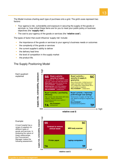The Model involves charting each type of purchase onto a grid. The grid's axes represent two factors:

- Your agency's risk, vulnerability and exposure in securing the supply of the goods or services i.e. how critical these items are for you to meet your public policy or business objectives (the **'supply risk'**)
- The cost to your agency of the goods or services (the **'relative cost'**).

The types of factor that could influence 'supply risk' include:

- the importance of the goods or services to your agency's business needs or outcomes
- the complexity of the goods or services
- the current supplier's ability to deliver
- the delivery lead time
- the level of competition in the supply market
- the product life.

#### The Supply Positioning Model





 A local hospital has a range of suppliers for different types of goods and services. In analysing the nature of Manager makes the these relationships, the Procurement following assessment.



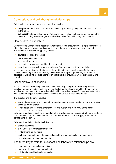# **Competitive and collaborative relationships**

Relationships between agencies and suppliers can be:

- • **competitive** (often called 'win-lose' relationships), where a gain by one party results in a loss to the other, or
- • **collaborative** (often called 'win-win' relationships), in which both parties acknowledge the benefits of doing business together and adding value, from which they can both gain.

#### Competitive relationships

 Competitive relationships are associated with 'transactional procurements': simple exchanges in which the supplier provides goods or services and the buyer provides money in payment. Transactional procurements typically involve:

- standard products or services
- many competing suppliers
- wide supply markets
- no benefits, or no need for a high degree of trust
- in environment in which the cost of switching from one supplier to another is low.

 In a competitive relationship the buyer seeks to obtain the best possible price for the required quality and delivery standards. They try to squeeze the supplier's profit margins. While this approach is unlikely to produce a long-term relationship, it should always be professional and ethical.

#### Collaborative relationships

 In a collaborative relationship the buyer seeks to develop a long-term relationship with the supplier – one in which both seek ways to add value for the ultimate benefit of the buyer, the supplier and end users. It's a proactive relationship focused on looking for improvements, not a 'cosy customer-supplier' relationship in which the status quo is allowed to prevail.

The supplier and the buyer usually:

- look for improvements and innovations together, secure in the knowledge that any benefits achieved will be shared
- jointly set targets for improvements in cost and quality, and meet regularly to discuss progress in achieving them.

 Collaborative relationships take time and effort to develop and are associated with more strategic procurements. They're not suitable for procurements where a failure in supply would not be damaging to the buyer.

Collaborative relationships typically involve:

- shared objectives
- a mutual search for greater efficiency
- joint planning for the future
- each party understanding the expectations of the other and seeking to meet them
- an environment of equal partnership.

The three key factors for successful collaborative relationships are:

- clear, open and honest communication
- mutual trust, respect and understanding
- collaboration and joint problem-solving.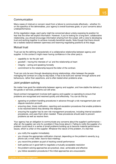# Communication

 Many cases of mistrust or concern result from a failure to communicate effectively – whether it's on the specifics of the deliverables, your agency's overall business goals, or your concerns about underperformance.

 At the negotiation stage, each party might be concerned about unduly exposing its position for fear that the other will exploit information. However, if you're looking for a long-term, collaborative relationship, you should encourage information-sharing from the outset, with a view to developing trust and working together to achieve mutually beneficial results. Note though that there should be a realistic balance between openness and reserving negotiating positions at this stage.

#### Mutual trust

 Trust can be the defining characteristic of a collaborative relationship between agency and supplier. In this context it might mean having confidence in the other party's:

- capability to 'do the job' well
- goodwill having the interests of 'us' and the relationship at heart
- $\bullet$  integrity acting and speaking honestly
- commitment to the relationship beyond the letter of the contract.

 Trust can only be won through developing strong relationships, often between the people managing the contract on a day-to-day basis. It has to be built and 'earned' through actions and behaviours, rather than assertions, and is often tested when problems arise.

#### Joint problem-solving

 No matter how good the relationship between agency and supplier, and how stable the delivery of the goods or services, problems can still arise.

 Good contract management involves both agency and supplier co-operating to ensure that problems are recognised and resolved quickly and effectively. You can do this by:

- agreeing on problem-handling procedures in advance through a risk management plan and dispute-resolution protocol
- ensuring clear, timely notification, reporting and escalation procedures that enable problems to be resolved before they develop into disputes
- ensuring the supplier has its own risk-management procedures, including internal escalation procedures, and uses them when needed. These procedures should seek to prevent problems as well as resolve them.

 Your agency has an obligation to communicate any concerns about the supplier's performance – after all, the supplier can only fix a problem if they know about it. Failing to notify the supplier of a problem could result in a series of small problems building up to become material performance issues, which is unfair on the supplier. Whatever the nature of the problem, it's vital that:

- you notify the supplier immediately
- you choose the appropriate notification channel, depending on the problem's severity (e.g. phone call, e-mail, letter, face-to-face meeting)
- you record the problem as part of tracking overall performance
- both parties act in good faith to negotiate a mutually acceptable resolution
- the problem-solving approaches are practical, clear, achievable and effective
- you follow escalation procedures if the initial approaches are unsuccessful.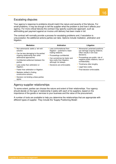# Escalating disputes

 Your agency's response to problems should match the nature and severity of the failures. For small problems, it may be enough to tell the supplier what the problem is and how it affects your agency. For more critical failures the contract may specify a particular approach, such as withholding part payment against an invoice until delivery has been made in full.

 The contract will normally provide a process for escalating problems and, if escalation is unsuccessful, the additional actions parties can take. Options include mediation, arbitration and litigation.

| <b>Mediation</b>                                                                            | <b>Arbitration</b>                                                                  | Litigation                                                                                       |
|---------------------------------------------------------------------------------------------|-------------------------------------------------------------------------------------|--------------------------------------------------------------------------------------------------|
| • Non-adversarial: seeks a 'win-win'<br>solution.<br>• Can be less damaging to the parties' | Less confrontational than<br>litigation – potential to retain<br>trading relations. | • Adversarial: polarised positions<br>can damage ongoing relations.<br>Often results in win-lose |
| ongoing relationship than other<br>adversarial approaches.                                  | Proceedings confidential.<br>Can sometimes be faster and                            | decisions.<br>• Proceedings are public: risk of                                                  |
| • Confidential settlement between the<br>parties.                                           | less costly than litigation,<br>although not always.<br>Decisions are enforceable.  | negative public relations, loss of<br>confidentiality.                                           |
| • Less costly than arbitration or<br>litigation.                                            |                                                                                     |                                                                                                  |
| • Faster than arbitration or litigation.                                                    |                                                                                     | • Final decision enforceable.                                                                    |
| • Mediator skilled in finding<br>constructive solution.                                     |                                                                                     |                                                                                                  |
| Decision not binding unless parties<br>agree.                                               |                                                                                     |                                                                                                  |
|                                                                                             |                                                                                     |                                                                                                  |

# Agency-supplier relationships

 To some extent, parties can choose the nature and extent of their relationships. Your agency should decide on the type of relationship it seeks with each of its suppliers, based on the importance of the goods or services to your business and the value of the procurement.

 A number of tools are available to help you determine the relationships that are appropriate with different types of supplier. They include the 'Supply Positioning Model'.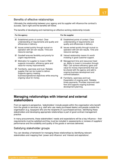# Benefits of effective relationships

 Ultimately the relationship between your agency and its supplier will influence the contract's success. Get it right and the benefits will follow.

The benefits of developing and maintaining an effective working relationship include:

| For the agency |                                                                                                                                                                                                            | For the supplier |                                                                                                                                                                                      |
|----------------|------------------------------------------------------------------------------------------------------------------------------------------------------------------------------------------------------------|------------------|--------------------------------------------------------------------------------------------------------------------------------------------------------------------------------------|
| ☑              | Established points of contact. Clear<br>understanding of requirements and quality and<br>efficiencies in delivery.                                                                                         | ☑                | Established points of contact. Clear<br>understanding of requirements and<br>quality and efficiencies in delivery.                                                                   |
|                | $\boxtimes$ Issues sorted quickly through mutual co-<br>operation with win-win results. Time and<br>resource savings.                                                                                      | $\triangledown$  | Issues sorted quickly through mutual co-<br>operation with win-win results. Time and<br>resource savings.                                                                            |
| ☑              | Goodwill ensures flexibility and priority for<br>urgent requirements.                                                                                                                                      |                  | $\boxtimes$ Valued relationship means it's worth<br>investing in good customer support.                                                                                              |
| ☑              | Motivation for supplier to invest in R&D<br>supports innovation, efficiency gains and<br>value-for-money improvements.                                                                                     | ⊻                | Management time and resources freed<br>up. Ability to invest in innovation through<br>R&D. Can achieve efficiency gains and                                                          |
|                | $\boxtimes$ Familiarity, openness and trust. Reliable<br>supplier that can be trusted to deliver.<br>Supports agency meeting<br>business/operational objectives while ensuring<br>ongoing value for money. |                  | value-for-money improvements that can<br>be shared with the agency and add to<br>ongoing business development and<br>commercialisation.                                              |
|                |                                                                                                                                                                                                            | ☑                | Familiarity, openness and trust.<br>Expectation of ongoing work. Reliable,<br>timely payments. Provides improved cash<br>flow and supports ongoing business<br>development planning. |

# **Managing relationships with internal and external stakeholders**

 From an agency's perspective, 'stakeholders' include people within the organisation who benefit from the goods or services (e.g. staff who use newly purchased desks) and people outside the organisation (e.g. taxpayers who are the recipients of a purchased service). Identifying these stakeholders and developing appropriate relationships is part of good contract-management practice.

 In many procurements, these stakeholders' needs and expectations will be a key influence – their requirements must be satisfied and they must be included in assessments or reviews of suppliers' performance and the suitability and quality of the goods or services delivered.

#### Satisfying stakeholder groups

 You can develop a framework for managing these relationships by identifying relevant stakeholders and mapping their 'power and influence' and 'interest and aspirations'.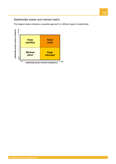# Stakeholder power and interest matrix

The diagram below indicates a possible approach for different types of stakeholder.

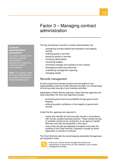# Factor 3 – Managing contract administration

**\_\_\_\_\_\_\_\_\_\_\_\_\_\_\_\_\_\_\_\_\_\_\_\_\_\_\_\_\_\_\_\_\_\_\_** 

#### The key procedures involved in contract administration are:

- **maintaining contract-related documentation and keeping** records
- **•** ordering goods or services
- **•** paying for goods or services
- **•** monitoring deliverables
- **•** monitoring budgets
- **•** controlling changes and variations to the contract
- **•** managing and planning resources
- **•** undertaking management reporting
- **nanaging assets.**

#### Records management

 As part of good procurement practice and according to your responsibilities under the Public Records Act 2005, you should keep full and accurate records of your business activities.

 Applicable to Public Service agencies, State Services agencies and local authorities, the Act's key objectives include:

- **•** promoting government accountability through good recordkeeping
- **•** enhancing public confidence in the integrity of government records.

Under the Act, agencies are required to:

- **•** create and maintain full and accurate records in accordance with normal, prudent business practice. These include records of activities carried out by contractors on an agency's behalf. Records must also be accessible in the future
- **•** ensure that records are disposed of properly and under the authority of the Chief Archivist. Disposal is usually by either destruction or transfer to archives.

 The Chief Archivist sets the record-keeping standards that agencies are required to meet.



 Check your internal record-management policies and requirements to ensure they are fully reflected in your contract-management activities.

#### **Contract administration procedures**

 You need to design and tailor your contract procedures to reflect the administration contract's specific circumstances.

 **Note:** Your agency might also have administrative procedures additional to those described here.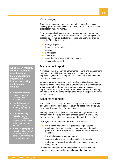### Change control

 Changes to services, procedures and prices can affect service delivery, performance and costs and whether the contract continues to represent value for money.

 All your contracts should include change-control procedures that clearly identify the parties' roles and responsibilities, along with the procedures for raising, evaluating, costing and approving change requests. They should cover:

- change requests
- impact assessments
- costing
- prioritisation
- **•** authorisation
- **•** recording the agreement to the change
- **·** implementation control.

#### Management reporting

 Any requirements for service performance reports and management information should be defined before and during contract negotiations, confirmed during the transition to implementation and recorded in the contract.

 Where possible, use the supplier's own financial and operational reporting cycles. If the supplier's standard internal business reports would provide the information you require, save unnecessary duplication of effort by accepting those instead. However, you may need to allow for the timing of reports to match the supplier's normal reporting cycle.

### Asset management

 If your agency is to keep ownership of any assets the supplier buys and uses in delivering its services (such as laptop computers), you have overall responsibility for those assets.

 In many cases, the supplier will undertake the day-to-day asset management (because they have physical control of the assets), then return the assets to your agency at the end of the contract.

Your agency's contract manager should ensure that:

- **•** the supplier has an asset register detailing all assets purchased, their specifications, serial numbers, dates of purchase, costs (receipts for purchase), locations held and condition
- the asset register is kept up to date
- **•** records are kept of any assets used by a third party
- **•** maintenance, upgrades and replacements are planned and budgeted for.

 The contract manager will be responsible for liaising with the supplier on asset administration, upkeep and maintenance.

 **contract managers - - need timely, up to date and accurate**  date and accurate information.  **information. Contract reporting methods can - As decision makers, include:** 

- • **milestone reports**: regular reports on delivery against milestones
- • **monthly progress reports**: regular monthly reports on delivery
- against service levels or key performance **service delivery reports**: regular reports of delivery indicators
- • **a project completion report**: the final report at the end of the delivery and results. contract, summarising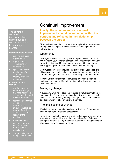The drivers for improvement and change during a contract can come from a range of continual sources.

#### **Internal drivers include:**

- evolving business requirements
- restructuring (of either party) organisational
- to either party's significant revisions corporate strategy/business objectives.

#### **External drivers include:**

- are now desirable) developments in technology (things that were not possible become possible, and
- affect the agency or the economic trends that relationship's profitability/value for money from the perspective of the supplier
- the need to provide service delivery to meet customer electronic forms of expectations
- **•** changes in legislation or legal interpretation.

# Continual improvement

 **Ideally, the requirement for continual improvement should be embodied within the contract and reflected in the relationship between the parties.** 

 This can be at a number of levels, from simple price improvements through cost savings to process efficiencies leading to better delivery times.

### **Opportunity**

 Your agency should continually look for opportunities to improve how you (and your supplier) operate. In contract management, this translates into a need for continual improvement in your agency's and supplier's performance and increased value for money.

 Continual improvement should be part of your and your supplier's philosophy, and should include improving the performance of the contract-management team as well as delivery under the contract.

 However, it's important that continual improvement is seen as desirable and beneficial for both parties, rather than as a means to drive down prices.

### Managing change

 A successful working relationship requires a mutual commitment to introduce identified improvements and meet your agency's evolving business needs. Properly managed change, in itself, can also be a good opportunity to alter or improve a service.

### The implications of change

 It's vitally important to understand the implications of change from both your and your supplier's perspectives.

 To an extent, both of you are taking calculated risks when you enter a long-term contract. However, the cumulative effect of change during the contract is likely to balance out for both. Joint planning for change is vital to minimise the risks.